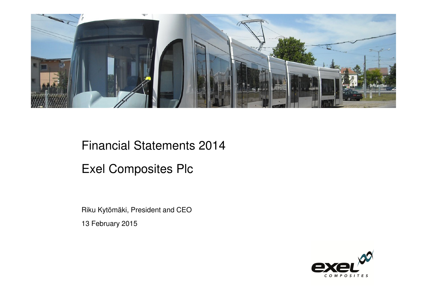

# Financial Statements 2014

## Exel Composites Plc

Riku Kytömäki, President and CEO13 February 2015

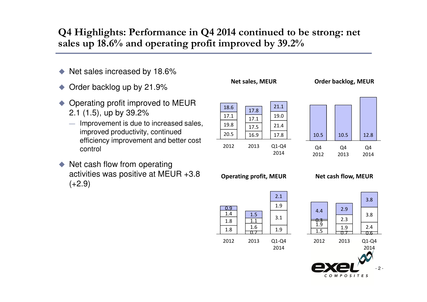#### **Q4 Highlights: Performance in Q4 2014 continued to be strong: net sales up 18.6% and operating profit improved by 39.2%**

- $\blacklozenge$ Net sales increased by 18.6%
- $\blacklozenge$ Order backlog up by 21.9%
- $\blacklozenge$  Operating profit improved to MEUR 2.1 (1.5), up by 39.2%
	- Improvement is due to increased sales,<br>improved productivity continued improved productivity, continued efficiency improvement and better cost control
- ◆ Net cash flow from operating activities was positive at MEUR +3.8  $(+2.9)$



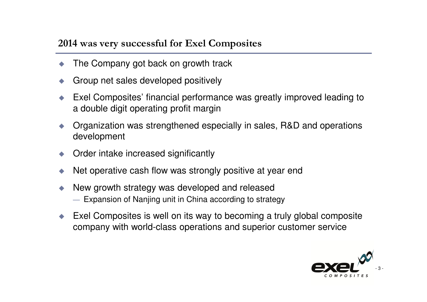#### **2014 was very successful for Exel Composites**

- ♦ The Company got back on growth track
- $\blacklozenge$ Group net sales developed positively
- ♦ Exel Composites' financial performance was greatly improved leading to a double digit operating profit margin
- $\blacklozenge$  Organization was strengthened especially in sales, R&D and operations development
- $\blacklozenge$ Order intake increased significantly
- $\blacklozenge$ Net operative cash flow was strongly positive at year end
- ♦ New growth strategy was developed and released
	- Expansion of Nanjing unit in China according to strategy
- ♦ Exel Composites is well on its way to becoming a truly global composite company with world-class operations and superior customer service

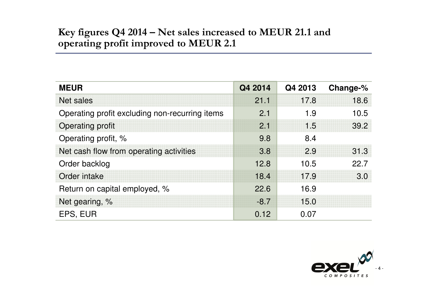### **Key figures Q4 2014 – Net sales increased to MEUR 21.1 and operating profit improved to MEUR 2.1**

| <b>MEUR</b>                                    | Q4 2014 | Q4 2013 | Change-% |
|------------------------------------------------|---------|---------|----------|
| <b>Net sales</b>                               | 21.1    | 17.8    | 18.6     |
| Operating profit excluding non-recurring items | 2.1     | 1.9     | 10.5     |
| <b>Operating profit</b>                        | 2.1     | 1.5     | 39.2     |
| Operating profit, %                            | 9.8     | 8.4     |          |
| Net cash flow from operating activities        | 3.8     | 2.9     | 31.3     |
| Order backlog                                  | 12.8    | 10.5    | 22.7     |
| Order intake                                   | 18.4    | 17.9    | 3.0      |
| Return on capital employed, %                  | 22.6    | 16.9    |          |
| Net gearing, %                                 | $-8.7$  | 15.0    |          |
| EPS, EUR                                       | 0.12    | 0.07    |          |

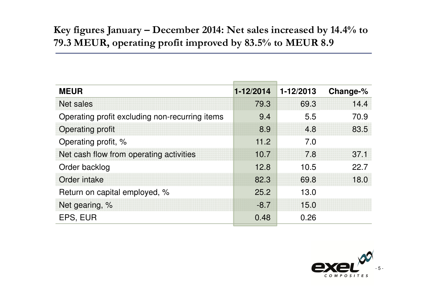### **Key figures January – December 2014: Net sales increased by 14.4% to 79.3 MEUR, operating profit improved by 83.5% to MEUR 8.9**

| <b>MEUR</b>                                    | $1 - 12/2014$ | 1-12/2013 | Change-% |
|------------------------------------------------|---------------|-----------|----------|
| <b>Net sales</b>                               | 79.3          | 69.3      | 14.4     |
| Operating profit excluding non-recurring items | 9.4           | 5.5       | 70.9     |
| <b>Operating profit</b>                        | 8.9           | 4.8       | 83.5     |
| Operating profit, %                            | 11.2          | 7.0       |          |
| Net cash flow from operating activities        | 10.7          | 7.8       | 37.1     |
| Order backlog                                  | 12.8          | 10.5      | 22.7     |
| Order intake                                   | 82.3          | 69.8      | 18.0     |
| Return on capital employed, %                  | 25.2          | 13.0      |          |
| Net gearing, %                                 | $-8.7$        | 15.0      |          |
| EPS, EUR                                       | 0.48          | 0.26      |          |

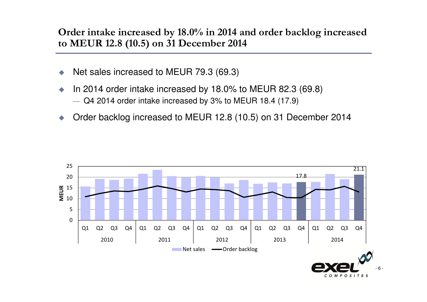**Order intake increased by 18.0% in 2014 and order backlog increased to MEUR 12.8 (10.5) on 31 December 2014**

- $\blacklozenge$ Net sales increased to MEUR 79.3 (69.3)
- In 2014 order intake increased by 18.0% to MEUR 82.3 (69.8)
	- Q4 2014 order intake increased by 3% to MEUR 18.4 (17.9)
- ♦ Order backlog increased to MEUR 12.8 (10.5) on 31 December 2014

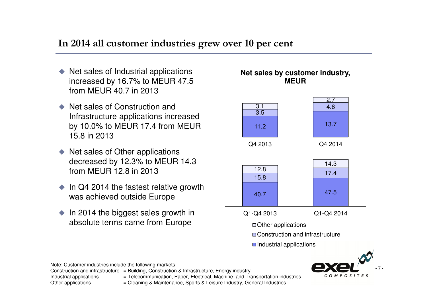#### **In 2014 all customer industries grew over 10 per cent**

- $\triangle$  Net sales of Industrial applications<br>Supercased by 16.7% to MELIP 47.5 increased by 16.7% to MEUR 47.5 from MEUR 40.7 in 2013
- ◆ Net sales of Construction and Infrastructure applications increased by 10.0% to MEUR 17.4 from MEUR 15.8 in 2013
- $\triangle$  Net sales of Other applications<br>decreased by 12.2% to MELID: decreased by 12.3% to MEUR 14.3 from MEUR 12.8 in 2013
- $\bullet$  In Q4 2014 the fastest relative growth was achieved outside Europe
- $\bullet$  In 2014 the biggest sales growth in absolute terms came from Europe

#### **Net sales by customer industry, MEUR**



Note: Customer industries include the following markets:

Construction and infrastructure  $=$  Building, Construction & Infrastructure, Energy industry

Industrial applications = Telecommunication, Paper, Electrical, Machine, and Transportation industries

Other applications = Cleaning & Maintenance, Sports & Leisure Industry, General Industries

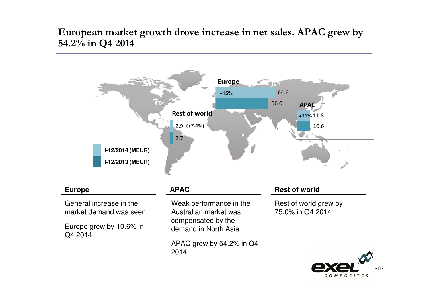**European market growth drove increase in net sales. APAC grew by 54.2% in Q4 2014**

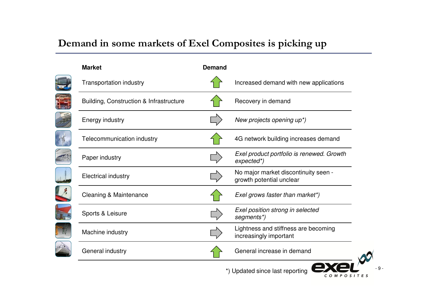### **Demand in some markets of Exel Composites is picking up**

PIH

**Allah** 

| <b>Market</b>                           | <b>Demand</b> |                                                                  |
|-----------------------------------------|---------------|------------------------------------------------------------------|
| <b>Transportation industry</b>          |               | Increased demand with new applications                           |
| Building, Construction & Infrastructure |               | Recovery in demand                                               |
| <b>Energy industry</b>                  |               | New projects opening up*)                                        |
| Telecommunication industry              |               | 4G network building increases demand                             |
| Paper industry                          |               | Exel product portfolio is renewed. Growth<br>expected*)          |
| <b>Electrical industry</b>              |               | No major market discontinuity seen -<br>growth potential unclear |
| <b>Cleaning &amp; Maintenance</b>       |               | Exel grows faster than market*)                                  |
| Sports & Leisure                        |               | Exel position strong in selected<br>segments*)                   |
| Machine industry                        |               | Lightness and stiffness are becoming<br>increasingly important   |
| General industry                        |               | General increase in demand                                       |
|                                         |               | *) Updated since last reporting<br>сом<br>$O$ S I                |

- 9 -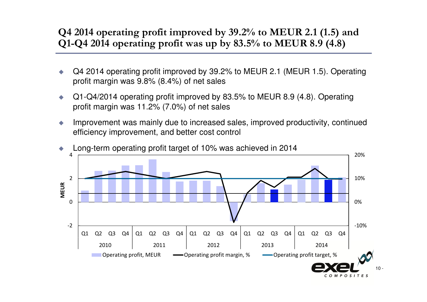### **Q4 2014 operating profit improved by 39.2% to MEUR 2.1 (1.5) and Q1-Q4 2014 operating profit was up by 83.5% to MEUR 8.9 (4.8)**

- $\blacklozenge$  Q4 2014 operating profit improved by 39.2% to MEUR 2.1 (MEUR 1.5). Operating profit margin was 9.8% (8.4%) of net sales
- $\bullet$  Q1-Q4/2014 operating profit improved by 83.5% to MEUR 8.9 (4.8). Operating profit margin was 11.2% (7.0%) of net sales
- $\bullet$  Improvement was mainly due to increased sales, improved productivity, continued efficiency improvement, and better cost control

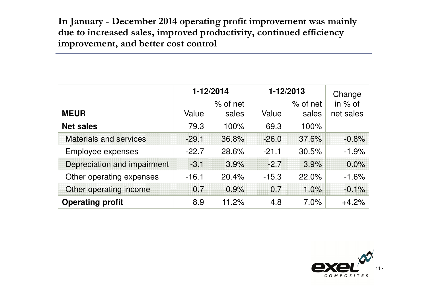**In January - December 2014 operating profit improvement was mainly due to increased sales, improved productivity, continued efficiency improvement, and better cost control**

|                               | 1-12/2014 |            | 1-12/2013 |            | Change    |  |
|-------------------------------|-----------|------------|-----------|------------|-----------|--|
|                               |           | $%$ of net |           | $%$ of net | in % of   |  |
| <b>MEUR</b>                   | Value     | sales      | Value     | sales      | net sales |  |
| <b>Net sales</b>              | 79.3      | 100%       | 69.3      | 100%       |           |  |
| <b>Materials and services</b> | $-29.1$   | 36.8%      | $-26.0$   | 37.6%      | $-0.8%$   |  |
| Employee expenses             | $-22.7$   | 28.6%      | $-21.1$   | 30.5%      | $-1.9%$   |  |
| Depreciation and impairment   | $-3.1$    | 3.9%       | $-2.7$    | 3.9%       | 0.0%      |  |
| Other operating expenses      | $-16.1$   | 20.4%      | $-15.3$   | 22.0%      | $-1.6%$   |  |
| Other operating income        | 0.7       | 0.9%       | 0.7       | 1.0%       | $-0.1%$   |  |
| <b>Operating profit</b>       | 8.9       | 11.2%      | 4.8       | 7.0%       | $+4.2%$   |  |

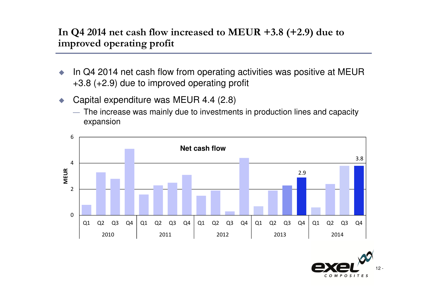#### **In Q4 2014 net cash flow increased to MEUR +3.8 (+2.9) due to improved operating profit**

- $\bullet$  In Q4 2014 net cash flow from operating activities was positive at MEUR +3.8 (+2.9) due to improved operating profit
- Capital expenditure was MEUR 4.4 (2.8)
	- The increase was mainly due to investments in production lines and capacity expansion



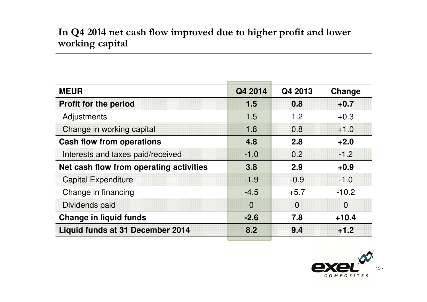#### **In Q4 2014 net cash flow improved due to higher profit and lower working capital**

| <b>MEUR</b>                             | Q4 2014        | Q4 2013  | Change         |
|-----------------------------------------|----------------|----------|----------------|
| <b>Profit for the period</b>            | 1.5            | 0.8      | $+0.7$         |
| Adjustments                             | 1.5            | 1.2      | $+0.3$         |
| Change in working capital               | 1.8            | 0.8      | $+1.0$         |
| <b>Cash flow from operations</b>        | 4.8            | 2.8      | $+2.0$         |
| Interests and taxes paid/received       | $-1.0$         | 0.2      | $-1.2$         |
| Net cash flow from operating activities | 3.8            | 2.9      | $+0.9$         |
| <b>Capital Expenditure</b>              | $-1.9$         | $-0.9$   | $-1.0$         |
| Change in financing                     | $-4.5$         | $+5.7$   | $-10.2$        |
| Dividends paid                          | $\overline{0}$ | $\Omega$ | $\overline{0}$ |
| <b>Change in liquid funds</b>           | $-2.6$         | 7.8      | $+10.4$        |
| <b>Liquid funds at 31 December 2014</b> | 8.2            | 9.4      | $+1.2$         |
|                                         |                |          |                |

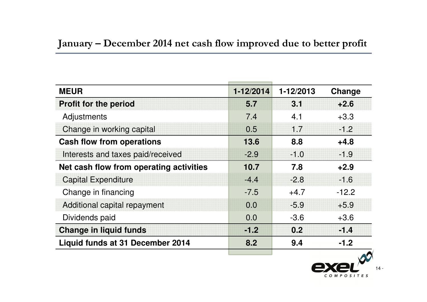| <b>MEUR</b>                             | 1-12/2014 | 1-12/2013 | Change  |
|-----------------------------------------|-----------|-----------|---------|
| <b>Profit for the period</b>            | 5.7       | 3.1       | $+2.6$  |
| Adjustments                             | 7.4       | 4.1       | $+3.3$  |
| Change in working capital               | 0.5       | 1.7       | $-1.2$  |
| <b>Cash flow from operations</b>        | 13.6      | 8.8       | $+4.8$  |
| Interests and taxes paid/received       | $-2.9$    | $-1.0$    | $-1.9$  |
| Net cash flow from operating activities | 10.7      | 7.8       | $+2.9$  |
| <b>Capital Expenditure</b>              | $-4.4$    | $-2.8$    | $-1.6$  |
| Change in financing                     | $-7.5$    | $+4.7$    | $-12.2$ |
| Additional capital repayment            | 0.0       | $-5.9$    | $+5.9$  |
| Dividends paid                          | 0.0       | $-3.6$    | $+3.6$  |
| <b>Change in liquid funds</b>           | $-1.2$    | 0.2       | $-1.4$  |
| Liquid funds at 31 December 2014        | 8.2       | 9.4       | $-1.2$  |
|                                         |           |           |         |

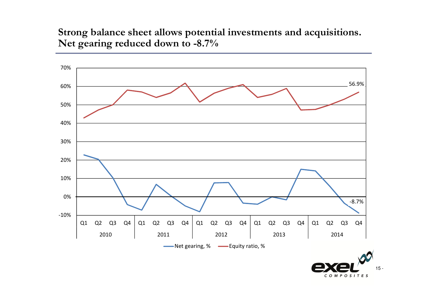**Strong balance sheet allows potential investments and acquisitions. Net gearing reduced down to -8.7%**



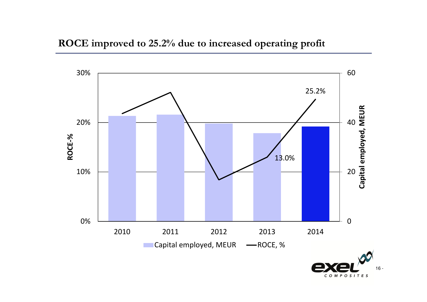



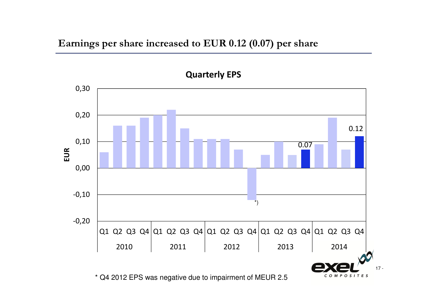**Earnings per share increased to EUR 0.12 (0.07) per share**

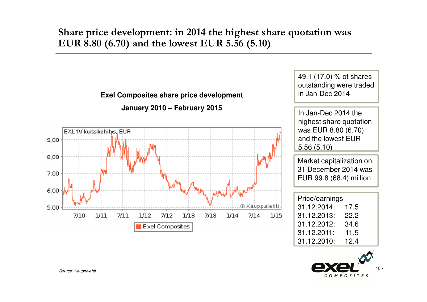#### **Share price development: in 2014 the highest share quotation was EUR 8.80 (6.70) and the lowest EUR 5.56 (5.10)**



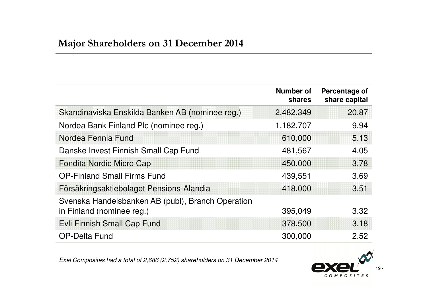|                                                                                | <b>Number of</b><br>shares | Percentage of<br>share capital |
|--------------------------------------------------------------------------------|----------------------------|--------------------------------|
| Skandinaviska Enskilda Banken AB (nominee reg.)                                | 2,482,349                  | 20.87                          |
| Nordea Bank Finland Plc (nominee reg.)                                         | 1,182,707                  | 9.94                           |
| Nordea Fennia Fund                                                             | 610,000                    | 5.13                           |
| Danske Invest Finnish Small Cap Fund                                           | 481,567                    | 4.05                           |
| Fondita Nordic Micro Cap                                                       | 450,000                    | 3.78                           |
| <b>OP-Finland Small Firms Fund</b>                                             | 439,551                    | 3.69                           |
| Försäkringsaktiebolaget Pensions-Alandia                                       | 418,000                    | 3.51                           |
| Svenska Handelsbanken AB (publ), Branch Operation<br>in Finland (nominee reg.) | 395,049                    | 3.32                           |
| <b>Evli Finnish Small Cap Fund</b>                                             | 378,500                    | 3.18                           |
| <b>OP-Delta Fund</b>                                                           | 300,000                    | 2.52                           |

*Exel Composites had a total of 2,686 (2,752) shareholders on 31 December 2014*

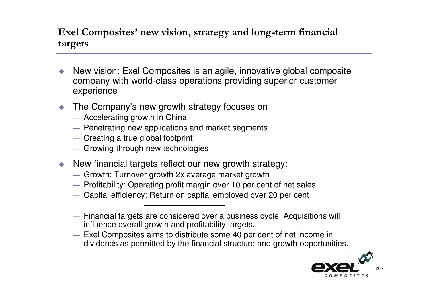#### **Exel Composites' new vision, strategy and long-term financial targets**

- $\blacklozenge$  New vision: Exel Composites is an agile, innovative global composite company with world-class operations providing superior customer experience
- ♦ The Company's new growth strategy focuses on
	- Accelerating growth in China
	- Penetrating new applications and market segments<br>Creating a true glabel fectoriat
	- Creating a true global footprint
	- Growing through new technologies
- New financial targets reflect our new growth strategy:
	- Growth: Turnover growth 2x average market growth<br>Refitability Operating profit margin aver 10 per sep
	- Profitability: Operating profit margin over 10 per cent of net sales
	- Capital efficiency: Return on capital employed over 20 per cent
	- Financial targets are considered over a business cycle. Acquisitions will<br>influence overall growth and profitability targets influence overall growth and profitability targets.
	- Exel Composites aims to distribute some 40 per cent of net income in<br>dividends as permitted by the financial structure and growth opportunity dividends as permitted by the financial structure and growth opportunities.

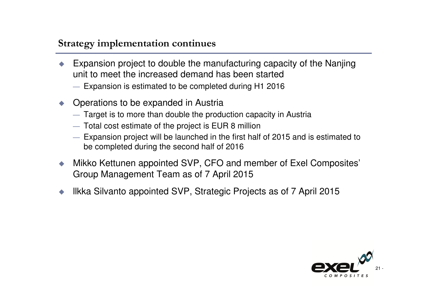#### **Strategy implementation continues**

- ♦ Expansion project to double the manufacturing capacity of the Nanjing unit to meet the increased demand has been started
	- Expansion is estimated to be completed during H1 2016
- $\blacklozenge$  Operations to be expanded in Austria
	- Target is to more than double the production capacity in Austria
	- Total cost estimate of the project is EUR 8 million
	- Expansion project will be launched in the first half of 2015 and is estimated to he completed during the second helf of 2016 be completed during the second half of 2016
- ♦ Mikko Kettunen appointed SVP, CFO and member of Exel Composites' Group Management Team as of 7 April 2015
- ♦ llkka Silvanto appointed SVP, Strategic Projects as of 7 April <sup>2015</sup>

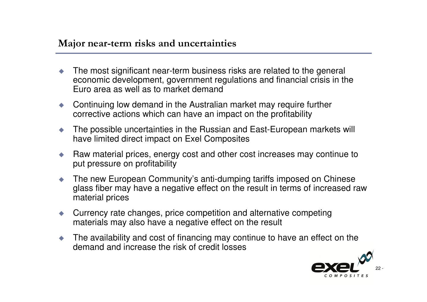#### **Major near-term risks and uncertainties**

- $\blacklozenge$  The most significant near-term business risks are related to the general economic development, government regulations and financial crisis in the Euro area as well as to market demand
- ◆ Continuing low demand in the Australian market may require further corrective actions which can have an impact on the profitability
- $\begin{array}{c} \bullet \\ \bullet \end{array}$  The possible uncertainties in the Russian and East-European markets will have limited direct impact on Exel Composites
- $\bullet$  Raw material prices, energy cost and other cost increases may continue to put pressure on profitability
- $\bullet$  The new European Community's anti-dumping tariffs imposed on Chinese glass fiber may have a negative effect on the result in terms of increased raw material prices
- Currency rate changes, price competition and alternative competing materials may also have a negative effect on the result
- $\blacklozenge$  The availability and cost of financing may continue to have an effect on the demand and increase the risk of credit losses

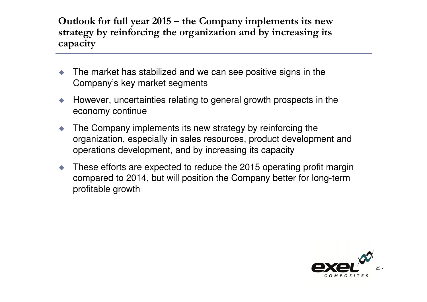**Outlook for full year 2015 – the Company implements its new strategy by reinforcing the organization and by increasing its capacity**

- $\blacklozenge$  The market has stabilized and we can see positive signs in the Company's key market segments
- $\blacklozenge$  However, uncertainties relating to general growth prospects in the economy continue
- ♦ The Company implements its new strategy by reinforcing the organization, especially in sales resources, product development and operations development, and by increasing its capacity
- ♦ These efforts are expected to reduce the 2015 operating profit margin compared to 2014, but will position the Company better for long-term profitable growth